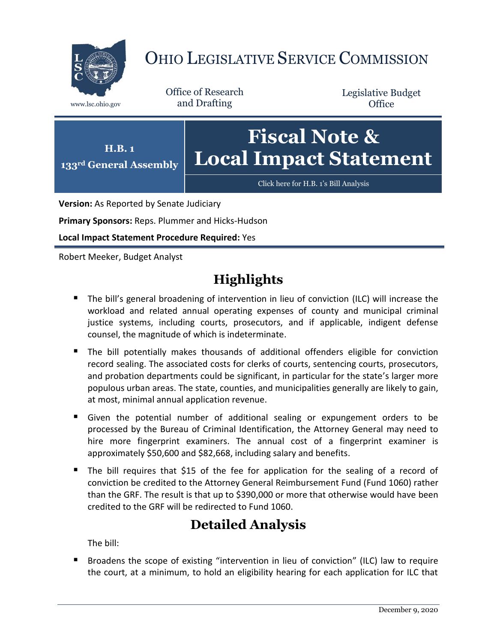

# OHIO LEGISLATIVE SERVICE COMMISSION

Office of Research www.lsc.ohio.gov and Drafting

Legislative Budget **Office** 



**Version:** As Reported by Senate Judiciary

**Primary Sponsors:** Reps. Plummer and Hicks-Hudson

**Local Impact Statement Procedure Required:** Yes

Robert Meeker, Budget Analyst

# **Highlights**

- **The bill's general broadening of intervention in lieu of conviction (ILC) will increase the** workload and related annual operating expenses of county and municipal criminal justice systems, including courts, prosecutors, and if applicable, indigent defense counsel, the magnitude of which is indeterminate.
- The bill potentially makes thousands of additional offenders eligible for conviction record sealing. The associated costs for clerks of courts, sentencing courts, prosecutors, and probation departments could be significant, in particular for the state's larger more populous urban areas. The state, counties, and municipalities generally are likely to gain, at most, minimal annual application revenue.
- Given the potential number of additional sealing or expungement orders to be processed by the Bureau of Criminal Identification, the Attorney General may need to hire more fingerprint examiners. The annual cost of a fingerprint examiner is approximately \$50,600 and \$82,668, including salary and benefits.
- The bill requires that \$15 of the fee for application for the sealing of a record of conviction be credited to the Attorney General Reimbursement Fund (Fund 1060) rather than the GRF. The result is that up to \$390,000 or more that otherwise would have been credited to the GRF will be redirected to Fund 1060.

# **Detailed Analysis**

The bill:

 Broadens the scope of existing "intervention in lieu of conviction" (ILC) law to require the court, at a minimum, to hold an eligibility hearing for each application for ILC that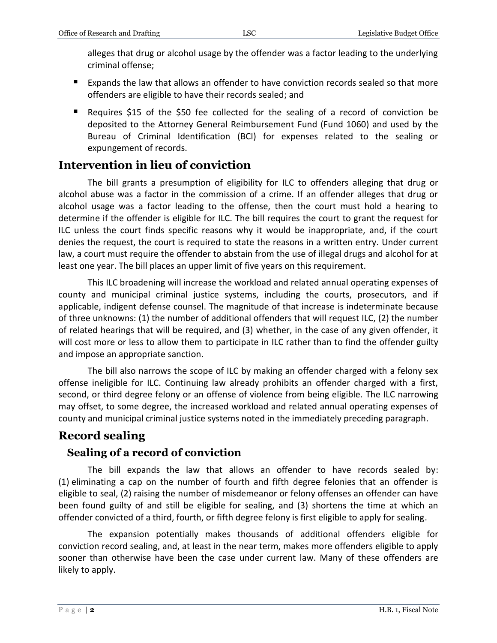alleges that drug or alcohol usage by the offender was a factor leading to the underlying criminal offense;

- Expands the law that allows an offender to have conviction records sealed so that more offenders are eligible to have their records sealed; and
- Requires \$15 of the \$50 fee collected for the sealing of a record of conviction be deposited to the Attorney General Reimbursement Fund (Fund 1060) and used by the Bureau of Criminal Identification (BCI) for expenses related to the sealing or expungement of records.

## **Intervention in lieu of conviction**

The bill grants a presumption of eligibility for ILC to offenders alleging that drug or alcohol abuse was a factor in the commission of a crime. If an offender alleges that drug or alcohol usage was a factor leading to the offense, then the court must hold a hearing to determine if the offender is eligible for ILC. The bill requires the court to grant the request for ILC unless the court finds specific reasons why it would be inappropriate, and, if the court denies the request, the court is required to state the reasons in a written entry. Under current law, a court must require the offender to abstain from the use of illegal drugs and alcohol for at least one year. The bill places an upper limit of five years on this requirement.

This ILC broadening will increase the workload and related annual operating expenses of county and municipal criminal justice systems, including the courts, prosecutors, and if applicable, indigent defense counsel. The magnitude of that increase is indeterminate because of three unknowns: (1) the number of additional offenders that will request ILC, (2) the number of related hearings that will be required, and (3) whether, in the case of any given offender, it will cost more or less to allow them to participate in ILC rather than to find the offender guilty and impose an appropriate sanction.

The bill also narrows the scope of ILC by making an offender charged with a felony sex offense ineligible for ILC. Continuing law already prohibits an offender charged with a first, second, or third degree felony or an offense of violence from being eligible. The ILC narrowing may offset, to some degree, the increased workload and related annual operating expenses of county and municipal criminal justice systems noted in the immediately preceding paragraph.

### **Record sealing**

### **Sealing of a record of conviction**

The bill expands the law that allows an offender to have records sealed by: (1) eliminating a cap on the number of fourth and fifth degree felonies that an offender is eligible to seal, (2) raising the number of misdemeanor or felony offenses an offender can have been found guilty of and still be eligible for sealing, and (3) shortens the time at which an offender convicted of a third, fourth, or fifth degree felony is first eligible to apply for sealing.

The expansion potentially makes thousands of additional offenders eligible for conviction record sealing, and, at least in the near term, makes more offenders eligible to apply sooner than otherwise have been the case under current law. Many of these offenders are likely to apply.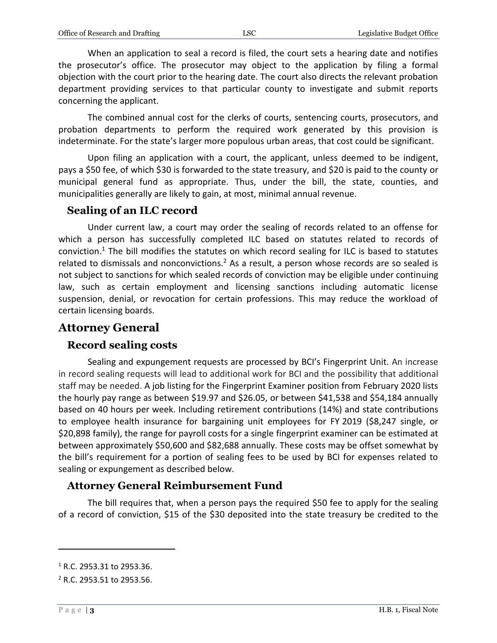When an application to seal a record is filed, the court sets a hearing date and notifies the prosecutor's office. The prosecutor may object to the application by filing a formal objection with the court prior to the hearing date. The court also directs the relevant probation department providing services to that particular county to investigate and submit reports concerning the applicant.

The combined annual cost for the clerks of courts, sentencing courts, prosecutors, and probation departments to perform the required work generated by this provision is indeterminate. For the state's larger more populous urban areas, that cost could be significant.

Upon filing an application with a court, the applicant, unless deemed to be indigent, pays a \$50 fee, of which \$30 is forwarded to the state treasury, and \$20 is paid to the county or municipal general fund as appropriate. Thus, under the bill, the state, counties, and municipalities generally are likely to gain, at most, minimal annual revenue.

#### **Sealing of an ILC record**

Under current law, a court may order the sealing of records related to an offense for which a person has successfully completed ILC based on statutes related to records of conviction.<sup>1</sup> The bill modifies the statutes on which record sealing for ILC is based to statutes related to dismissals and nonconvictions.<sup>2</sup> As a result, a person whose records are so sealed is not subject to sanctions for which sealed records of conviction may be eligible under continuing law, such as certain employment and licensing sanctions including automatic license suspension, denial, or revocation for certain professions. This may reduce the workload of certain licensing boards.

### **Attorney General**

#### **Record sealing costs**

Sealing and expungement requests are processed by BCI's Fingerprint Unit. An increase in record sealing requests will lead to additional work for BCI and the possibility that additional staff may be needed. A job listing for the Fingerprint Examiner position from February 2020 lists the hourly pay range as between \$19.97 and \$26.05, or between \$41,538 and \$54,184 annually based on 40 hours per week. Including retirement contributions (14%) and state contributions to employee health insurance for bargaining unit employees for FY 2019 (\$8,247 single, or \$20,898 family), the range for payroll costs for a single fingerprint examiner can be estimated at between approximately \$50,600 and \$82,688 annually. These costs may be offset somewhat by the bill's requirement for a portion of sealing fees to be used by BCI for expenses related to sealing or expungement as described below.

#### **Attorney General Reimbursement Fund**

The bill requires that, when a person pays the required \$50 fee to apply for the sealing of a record of conviction, \$15 of the \$30 deposited into the state treasury be credited to the

 $\overline{a}$ 

<sup>1</sup> R.C. 2953.31 to 2953.36.

<sup>2</sup> R.C. 2953.51 to 2953.56.